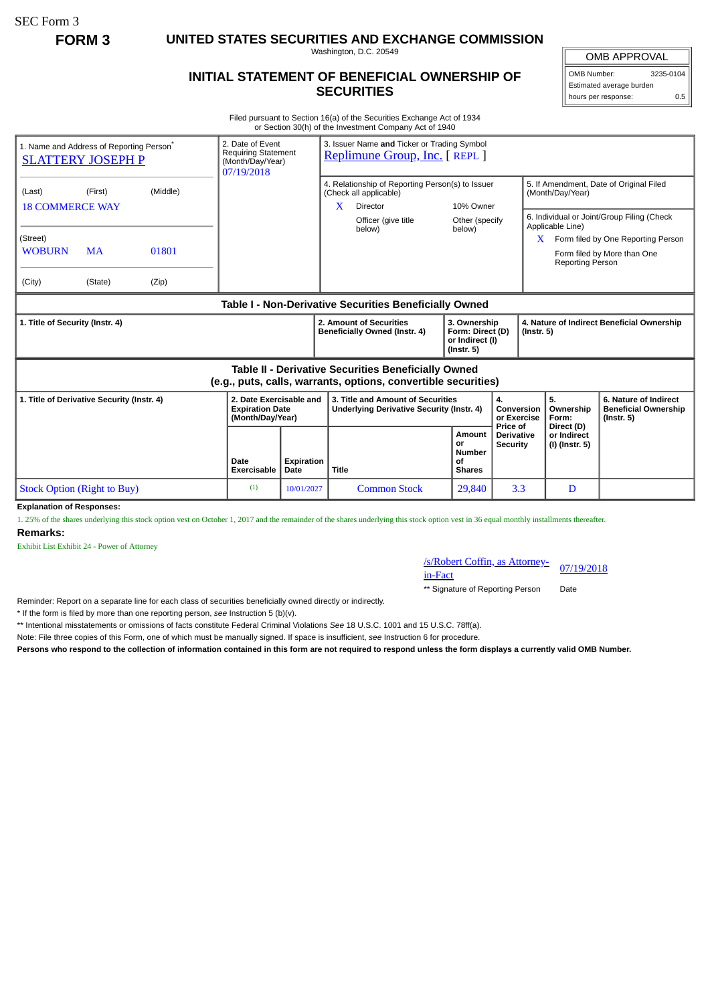SEC Form 3

**FORM 3 UNITED STATES SECURITIES AND EXCHANGE COMMISSION**

Washington, D.C. 20549

## **INITIAL STATEMENT OF BENEFICIAL OWNERSHIP OF SECURITIES**

OMB APPROVAL OMB Number: 3235-0104

Estimated average burden hours per response: 0.5

Filed pursuant to Section 16(a) of the Securities Exchange Act of 1934 or Section 30(h) of the Investment Company Act of 1940

| 1. Name and Address of Reporting Person <sup>®</sup><br><b>SLATTERY JOSEPH P</b>                                      |           |          | 2. Date of Event<br>(Month/Day/Year)<br>07/19/2018                    | 3. Issuer Name and Ticker or Trading Symbol<br><b>Requiring Statement</b><br>Replimune Group, Inc. [ REPL ] |                                                                                |                                                                                               |                                                                         |                                                  |                                                                                                            |                                                                          |
|-----------------------------------------------------------------------------------------------------------------------|-----------|----------|-----------------------------------------------------------------------|-------------------------------------------------------------------------------------------------------------|--------------------------------------------------------------------------------|-----------------------------------------------------------------------------------------------|-------------------------------------------------------------------------|--------------------------------------------------|------------------------------------------------------------------------------------------------------------|--------------------------------------------------------------------------|
| (Last)<br><b>18 COMMERCE WAY</b>                                                                                      | (First)   | (Middle) |                                                                       |                                                                                                             | X                                                                              | 4. Relationship of Reporting Person(s) to Issuer<br>(Check all applicable)<br><b>Director</b> | 10% Owner                                                               |                                                  | 5. If Amendment, Date of Original Filed<br>(Month/Day/Year)                                                |                                                                          |
| (Street)                                                                                                              |           |          |                                                                       |                                                                                                             |                                                                                | Officer (give title<br>below)                                                                 | Other (specify<br>below)                                                |                                                  | 6. Individual or Joint/Group Filing (Check<br>Applicable Line)<br>Form filed by One Reporting Person<br>X. |                                                                          |
| <b>WOBURN</b>                                                                                                         | <b>MA</b> | 01801    |                                                                       |                                                                                                             |                                                                                |                                                                                               |                                                                         |                                                  | <b>Reporting Person</b>                                                                                    | Form filed by More than One                                              |
| (City)                                                                                                                | (State)   | (Zip)    |                                                                       |                                                                                                             |                                                                                |                                                                                               |                                                                         |                                                  |                                                                                                            |                                                                          |
| Table I - Non-Derivative Securities Beneficially Owned                                                                |           |          |                                                                       |                                                                                                             |                                                                                |                                                                                               |                                                                         |                                                  |                                                                                                            |                                                                          |
| 1. Title of Security (Instr. 4)                                                                                       |           |          |                                                                       |                                                                                                             | 2. Amount of Securities<br>Beneficially Owned (Instr. 4)                       |                                                                                               | 3. Ownership<br>Form: Direct (D)<br>or Indirect (I)<br>$($ lnstr. 5 $)$ |                                                  | 4. Nature of Indirect Beneficial Ownership<br>$($ Instr. 5 $)$                                             |                                                                          |
| Table II - Derivative Securities Beneficially Owned<br>(e.g., puts, calls, warrants, options, convertible securities) |           |          |                                                                       |                                                                                                             |                                                                                |                                                                                               |                                                                         |                                                  |                                                                                                            |                                                                          |
| 1. Title of Derivative Security (Instr. 4)                                                                            |           |          | 2. Date Exercisable and<br><b>Expiration Date</b><br>(Month/Day/Year) |                                                                                                             | 3. Title and Amount of Securities<br>Underlying Derivative Security (Instr. 4) |                                                                                               |                                                                         | 4.<br>Conversion<br>or Exercise                  | 5.<br>Ownership<br>Form:                                                                                   | 6. Nature of Indirect<br><b>Beneficial Ownership</b><br>$($ Instr. 5 $)$ |
|                                                                                                                       |           |          | Date<br><b>Exercisable</b>                                            | <b>Expiration</b><br>Date                                                                                   | <b>Title</b>                                                                   |                                                                                               | Amount<br>or<br><b>Number</b><br>οf<br><b>Shares</b>                    | Price of<br><b>Derivative</b><br><b>Security</b> | Direct (D)<br>or Indirect<br>(I) (Instr. 5)                                                                |                                                                          |
| <b>Stock Option (Right to Buy)</b>                                                                                    |           |          | (1)                                                                   | 10/01/2027                                                                                                  |                                                                                | <b>Common Stock</b>                                                                           | 29,840                                                                  | 3.3                                              | D                                                                                                          |                                                                          |
| Funlanation of Beauquace                                                                                              |           |          |                                                                       |                                                                                                             |                                                                                |                                                                                               |                                                                         |                                                  |                                                                                                            |                                                                          |

**Explanation of Responses:**

1. 25% of the shares underlying this stock option vest on October 1, 2017 and the remainder of the shares underlying this stock option vest in 36 equal monthly installments thereafter. **Remarks:**

Exhibit List Exhibit 24 - Power of Attorney

/s/Robert Coffin, as Attorney-<br>in-Fact

\*\* Signature of Reporting Person Date

Reminder: Report on a separate line for each class of securities beneficially owned directly or indirectly.

\* If the form is filed by more than one reporting person, *see* Instruction 5 (b)(v).

\*\* Intentional misstatements or omissions of facts constitute Federal Criminal Violations *See* 18 U.S.C. 1001 and 15 U.S.C. 78ff(a).

Note: File three copies of this Form, one of which must be manually signed. If space is insufficient, *see* Instruction 6 for procedure.

**Persons who respond to the collection of information contained in this form are not required to respond unless the form displays a currently valid OMB Number.**